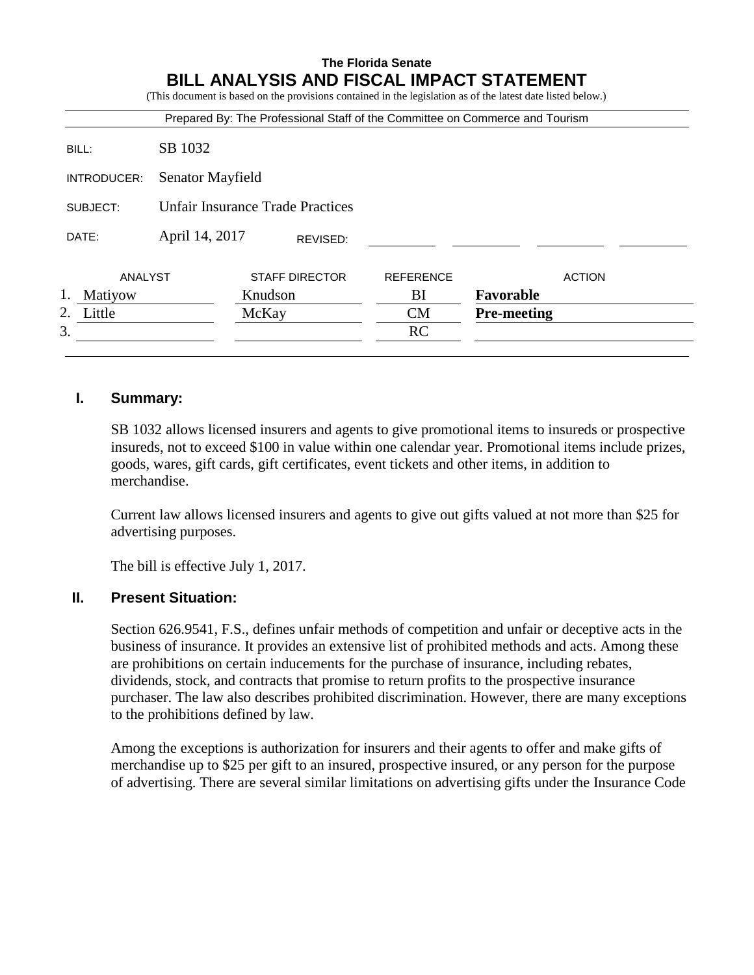# **The Florida Senate BILL ANALYSIS AND FISCAL IMPACT STATEMENT** (This document is based on the provisions contained in the legislation as of the latest date listed below.) Prepared By: The Professional Staff of the Committee on Commerce and Tourism BILL: SB 1032 INTRODUCER: Senator Mayfield SUBJECT: Unfair Insurance Trade Practices DATE: April 14, 2017 ANALYST STAFF DIRECTOR REFERENCE ACTION 1. Matiyow Knudson BI **Favorable** 2. Little McKay CM **Pre-meeting**  $3.$  RC REVISED:

# **I. Summary:**

SB 1032 allows licensed insurers and agents to give promotional items to insureds or prospective insureds, not to exceed \$100 in value within one calendar year. Promotional items include prizes, goods, wares, gift cards, gift certificates, event tickets and other items, in addition to merchandise.

Current law allows licensed insurers and agents to give out gifts valued at not more than \$25 for advertising purposes.

The bill is effective July 1, 2017.

# **II. Present Situation:**

Section 626.9541, F.S., defines unfair methods of competition and unfair or deceptive acts in the business of insurance. It provides an extensive list of prohibited methods and acts. Among these are prohibitions on certain inducements for the purchase of insurance, including rebates, dividends, stock, and contracts that promise to return profits to the prospective insurance purchaser. The law also describes prohibited discrimination. However, there are many exceptions to the prohibitions defined by law.

Among the exceptions is authorization for insurers and their agents to offer and make gifts of merchandise up to \$25 per gift to an insured, prospective insured, or any person for the purpose of advertising. There are several similar limitations on advertising gifts under the Insurance Code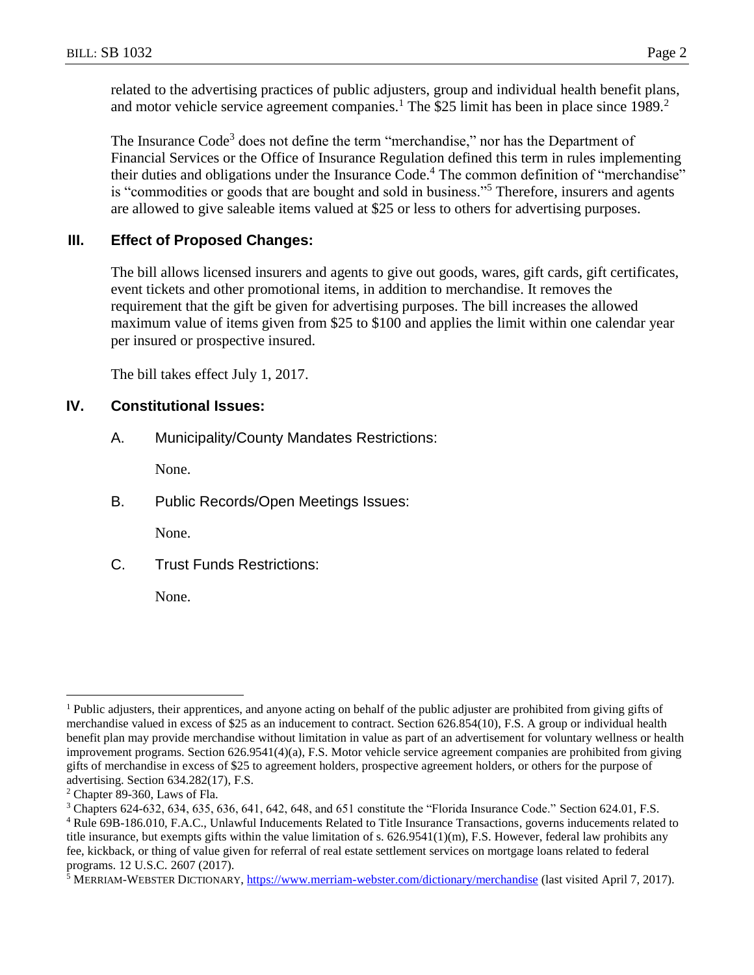related to the advertising practices of public adjusters, group and individual health benefit plans, and motor vehicle service agreement companies.<sup>1</sup> The \$25 limit has been in place since  $1989$ .<sup>2</sup>

The Insurance Code<sup>3</sup> does not define the term "merchandise," nor has the Department of Financial Services or the Office of Insurance Regulation defined this term in rules implementing their duties and obligations under the Insurance Code.<sup>4</sup> The common definition of "merchandise" is "commodities or goods that are bought and sold in business."<sup>5</sup> Therefore, insurers and agents are allowed to give saleable items valued at \$25 or less to others for advertising purposes.

## **III. Effect of Proposed Changes:**

The bill allows licensed insurers and agents to give out goods, wares, gift cards, gift certificates, event tickets and other promotional items, in addition to merchandise. It removes the requirement that the gift be given for advertising purposes. The bill increases the allowed maximum value of items given from \$25 to \$100 and applies the limit within one calendar year per insured or prospective insured.

The bill takes effect July 1, 2017.

#### **IV. Constitutional Issues:**

A. Municipality/County Mandates Restrictions:

None.

B. Public Records/Open Meetings Issues:

None.

C. Trust Funds Restrictions:

None.

 $\overline{a}$ 

<sup>&</sup>lt;sup>1</sup> Public adjusters, their apprentices, and anyone acting on behalf of the public adjuster are prohibited from giving gifts of merchandise valued in excess of \$25 as an inducement to contract. Section 626.854(10), F.S. A group or individual health benefit plan may provide merchandise without limitation in value as part of an advertisement for voluntary wellness or health improvement programs. Section 626.9541(4)(a), F.S. Motor vehicle service agreement companies are prohibited from giving gifts of merchandise in excess of \$25 to agreement holders, prospective agreement holders, or others for the purpose of advertising. Section 634.282(17), F.S.

<sup>2</sup> Chapter 89-360, Laws of Fla.

<sup>3</sup> Chapters 624-632, 634, 635, 636, 641, 642, 648, and 651 constitute the "Florida Insurance Code." Section 624.01, F.S.

<sup>4</sup> Rule 69B-186.010, F.A.C., Unlawful Inducements Related to Title Insurance Transactions, governs inducements related to title insurance, but exempts gifts within the value limitation of s. 626.9541(1)(m), F.S. However, federal law prohibits any fee, kickback, or thing of value given for referral of real estate settlement services on mortgage loans related to federal programs. 12 U.S.C. 2607 (2017).

<sup>&</sup>lt;sup>5</sup> MERRIAM-WEBSTER DICTIONARY,<https://www.merriam-webster.com/dictionary/merchandise> (last visited April 7, 2017).